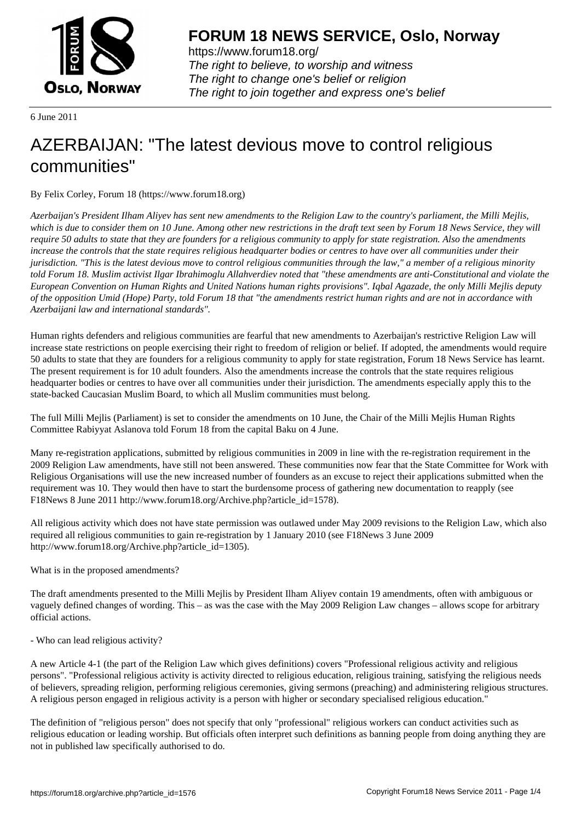

https://www.forum18.org/ The right to believe, to worship and witness The right to change one's belief or religion [The right to join together a](https://www.forum18.org/)nd express one's belief

6 June 2011

# [AZERBAIJAN: "](https://www.forum18.org)The latest devious move to control religious communities"

By Felix Corley, Forum 18 (https://www.forum18.org)

*Azerbaijan's President Ilham Aliyev has sent new amendments to the Religion Law to the country's parliament, the Milli Mejlis, which is due to consider them on 10 June. Among other new restrictions in the draft text seen by Forum 18 News Service, they will require 50 adults to state that they are founders for a religious community to apply for state registration. Also the amendments increase the controls that the state requires religious headquarter bodies or centres to have over all communities under their jurisdiction. "This is the latest devious move to control religious communities through the law," a member of a religious minority told Forum 18. Muslim activist Ilgar Ibrahimoglu Allahverdiev noted that "these amendments are anti-Constitutional and violate the European Convention on Human Rights and United Nations human rights provisions". Iqbal Agazade, the only Milli Mejlis deputy of the opposition Umid (Hope) Party, told Forum 18 that "the amendments restrict human rights and are not in accordance with Azerbaijani law and international standards".*

Human rights defenders and religious communities are fearful that new amendments to Azerbaijan's restrictive Religion Law will increase state restrictions on people exercising their right to freedom of religion or belief. If adopted, the amendments would require 50 adults to state that they are founders for a religious community to apply for state registration, Forum 18 News Service has learnt. The present requirement is for 10 adult founders. Also the amendments increase the controls that the state requires religious headquarter bodies or centres to have over all communities under their jurisdiction. The amendments especially apply this to the state-backed Caucasian Muslim Board, to which all Muslim communities must belong.

The full Milli Mejlis (Parliament) is set to consider the amendments on 10 June, the Chair of the Milli Mejlis Human Rights Committee Rabiyyat Aslanova told Forum 18 from the capital Baku on 4 June.

Many re-registration applications, submitted by religious communities in 2009 in line with the re-registration requirement in the 2009 Religion Law amendments, have still not been answered. These communities now fear that the State Committee for Work with Religious Organisations will use the new increased number of founders as an excuse to reject their applications submitted when the requirement was 10. They would then have to start the burdensome process of gathering new documentation to reapply (see F18News 8 June 2011 http://www.forum18.org/Archive.php?article\_id=1578).

All religious activity which does not have state permission was outlawed under May 2009 revisions to the Religion Law, which also required all religious communities to gain re-registration by 1 January 2010 (see F18News 3 June 2009 http://www.forum18.org/Archive.php?article\_id=1305).

What is in the proposed amendments?

The draft amendments presented to the Milli Mejlis by President Ilham Aliyev contain 19 amendments, often with ambiguous or vaguely defined changes of wording. This – as was the case with the May 2009 Religion Law changes – allows scope for arbitrary official actions.

- Who can lead religious activity?

A new Article 4-1 (the part of the Religion Law which gives definitions) covers "Professional religious activity and religious persons". "Professional religious activity is activity directed to religious education, religious training, satisfying the religious needs of believers, spreading religion, performing religious ceremonies, giving sermons (preaching) and administering religious structures. A religious person engaged in religious activity is a person with higher or secondary specialised religious education."

The definition of "religious person" does not specify that only "professional" religious workers can conduct activities such as religious education or leading worship. But officials often interpret such definitions as banning people from doing anything they are not in published law specifically authorised to do.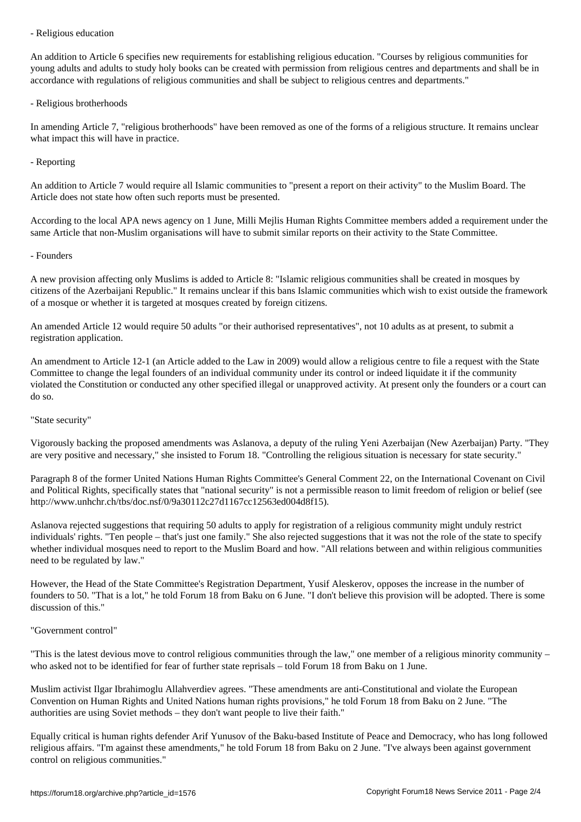An addition to Article 6 specifies new requirements for establishing religious education. "Courses by religious communities for young adults and adults to study holy books can be created with permission from religious centres and departments and shall be in accordance with regulations of religious communities and shall be subject to religious centres and departments."

#### - Religious brotherhoods

In amending Article 7, "religious brotherhoods" have been removed as one of the forms of a religious structure. It remains unclear what impact this will have in practice.

## - Reporting

An addition to Article 7 would require all Islamic communities to "present a report on their activity" to the Muslim Board. The Article does not state how often such reports must be presented.

According to the local APA news agency on 1 June, Milli Mejlis Human Rights Committee members added a requirement under the same Article that non-Muslim organisations will have to submit similar reports on their activity to the State Committee.

# - Founders

A new provision affecting only Muslims is added to Article 8: "Islamic religious communities shall be created in mosques by citizens of the Azerbaijani Republic." It remains unclear if this bans Islamic communities which wish to exist outside the framework of a mosque or whether it is targeted at mosques created by foreign citizens.

An amended Article 12 would require 50 adults "or their authorised representatives", not 10 adults as at present, to submit a registration application.

An amendment to Article 12-1 (an Article added to the Law in 2009) would allow a religious centre to file a request with the State Committee to change the legal founders of an individual community under its control or indeed liquidate it if the community violated the Constitution or conducted any other specified illegal or unapproved activity. At present only the founders or a court can do so.

## "State security"

Vigorously backing the proposed amendments was Aslanova, a deputy of the ruling Yeni Azerbaijan (New Azerbaijan) Party. "They are very positive and necessary," she insisted to Forum 18. "Controlling the religious situation is necessary for state security."

Paragraph 8 of the former United Nations Human Rights Committee's General Comment 22, on the International Covenant on Civil and Political Rights, specifically states that "national security" is not a permissible reason to limit freedom of religion or belief (see http://www.unhchr.ch/tbs/doc.nsf/0/9a30112c27d1167cc12563ed004d8f15).

Aslanova rejected suggestions that requiring 50 adults to apply for registration of a religious community might unduly restrict individuals' rights. "Ten people – that's just one family." She also rejected suggestions that it was not the role of the state to specify whether individual mosques need to report to the Muslim Board and how. "All relations between and within religious communities need to be regulated by law."

However, the Head of the State Committee's Registration Department, Yusif Aleskerov, opposes the increase in the number of founders to 50. "That is a lot," he told Forum 18 from Baku on 6 June. "I don't believe this provision will be adopted. There is some discussion of this."

## "Government control"

"This is the latest devious move to control religious communities through the law," one member of a religious minority community – who asked not to be identified for fear of further state reprisals – told Forum 18 from Baku on 1 June.

Muslim activist Ilgar Ibrahimoglu Allahverdiev agrees. "These amendments are anti-Constitutional and violate the European Convention on Human Rights and United Nations human rights provisions," he told Forum 18 from Baku on 2 June. "The authorities are using Soviet methods – they don't want people to live their faith."

Equally critical is human rights defender Arif Yunusov of the Baku-based Institute of Peace and Democracy, who has long followed religious affairs. "I'm against these amendments," he told Forum 18 from Baku on 2 June. "I've always been against government control on religious communities."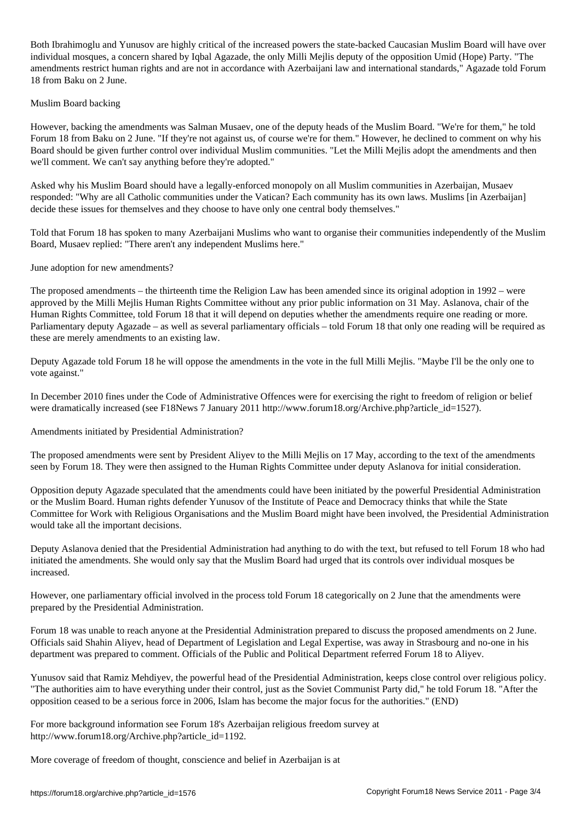Both Ibrahimoglu and Yunusov are highly critical of the increased powers the state-backed Caucasian Muslim Board will have over individual mosques, a concern shared by Iqbal Agazade, the only Milli Mejlis deputy of the opposition Umid (Hope) Party. "The amendments restrict human rights and are not in accordance with Azerbaijani law and international standards," Agazade told Forum 18 from Baku on 2 June.

#### Muslim Board backing

However, backing the amendments was Salman Musaev, one of the deputy heads of the Muslim Board. "We're for them," he told Forum 18 from Baku on 2 June. "If they're not against us, of course we're for them." However, he declined to comment on why his Board should be given further control over individual Muslim communities. "Let the Milli Mejlis adopt the amendments and then we'll comment. We can't say anything before they're adopted."

Asked why his Muslim Board should have a legally-enforced monopoly on all Muslim communities in Azerbaijan, Musaev responded: "Why are all Catholic communities under the Vatican? Each community has its own laws. Muslims [in Azerbaijan] decide these issues for themselves and they choose to have only one central body themselves."

Told that Forum 18 has spoken to many Azerbaijani Muslims who want to organise their communities independently of the Muslim Board, Musaev replied: "There aren't any independent Muslims here."

June adoption for new amendments?

The proposed amendments – the thirteenth time the Religion Law has been amended since its original adoption in 1992 – were approved by the Milli Mejlis Human Rights Committee without any prior public information on 31 May. Aslanova, chair of the Human Rights Committee, told Forum 18 that it will depend on deputies whether the amendments require one reading or more. Parliamentary deputy Agazade – as well as several parliamentary officials – told Forum 18 that only one reading will be required as these are merely amendments to an existing law.

Deputy Agazade told Forum 18 he will oppose the amendments in the vote in the full Milli Mejlis. "Maybe I'll be the only one to vote against."

In December 2010 fines under the Code of Administrative Offences were for exercising the right to freedom of religion or belief were dramatically increased (see F18News 7 January 2011 http://www.forum18.org/Archive.php?article\_id=1527).

Amendments initiated by Presidential Administration?

The proposed amendments were sent by President Aliyev to the Milli Mejlis on 17 May, according to the text of the amendments seen by Forum 18. They were then assigned to the Human Rights Committee under deputy Aslanova for initial consideration.

Opposition deputy Agazade speculated that the amendments could have been initiated by the powerful Presidential Administration or the Muslim Board. Human rights defender Yunusov of the Institute of Peace and Democracy thinks that while the State Committee for Work with Religious Organisations and the Muslim Board might have been involved, the Presidential Administration would take all the important decisions.

Deputy Aslanova denied that the Presidential Administration had anything to do with the text, but refused to tell Forum 18 who had initiated the amendments. She would only say that the Muslim Board had urged that its controls over individual mosques be increased.

However, one parliamentary official involved in the process told Forum 18 categorically on 2 June that the amendments were prepared by the Presidential Administration.

Forum 18 was unable to reach anyone at the Presidential Administration prepared to discuss the proposed amendments on 2 June. Officials said Shahin Aliyev, head of Department of Legislation and Legal Expertise, was away in Strasbourg and no-one in his department was prepared to comment. Officials of the Public and Political Department referred Forum 18 to Aliyev.

Yunusov said that Ramiz Mehdiyev, the powerful head of the Presidential Administration, keeps close control over religious policy. "The authorities aim to have everything under their control, just as the Soviet Communist Party did," he told Forum 18. "After the opposition ceased to be a serious force in 2006, Islam has become the major focus for the authorities." (END)

For more background information see Forum 18's Azerbaijan religious freedom survey at http://www.forum18.org/Archive.php?article\_id=1192.

More coverage of freedom of thought, conscience and belief in Azerbaijan is at